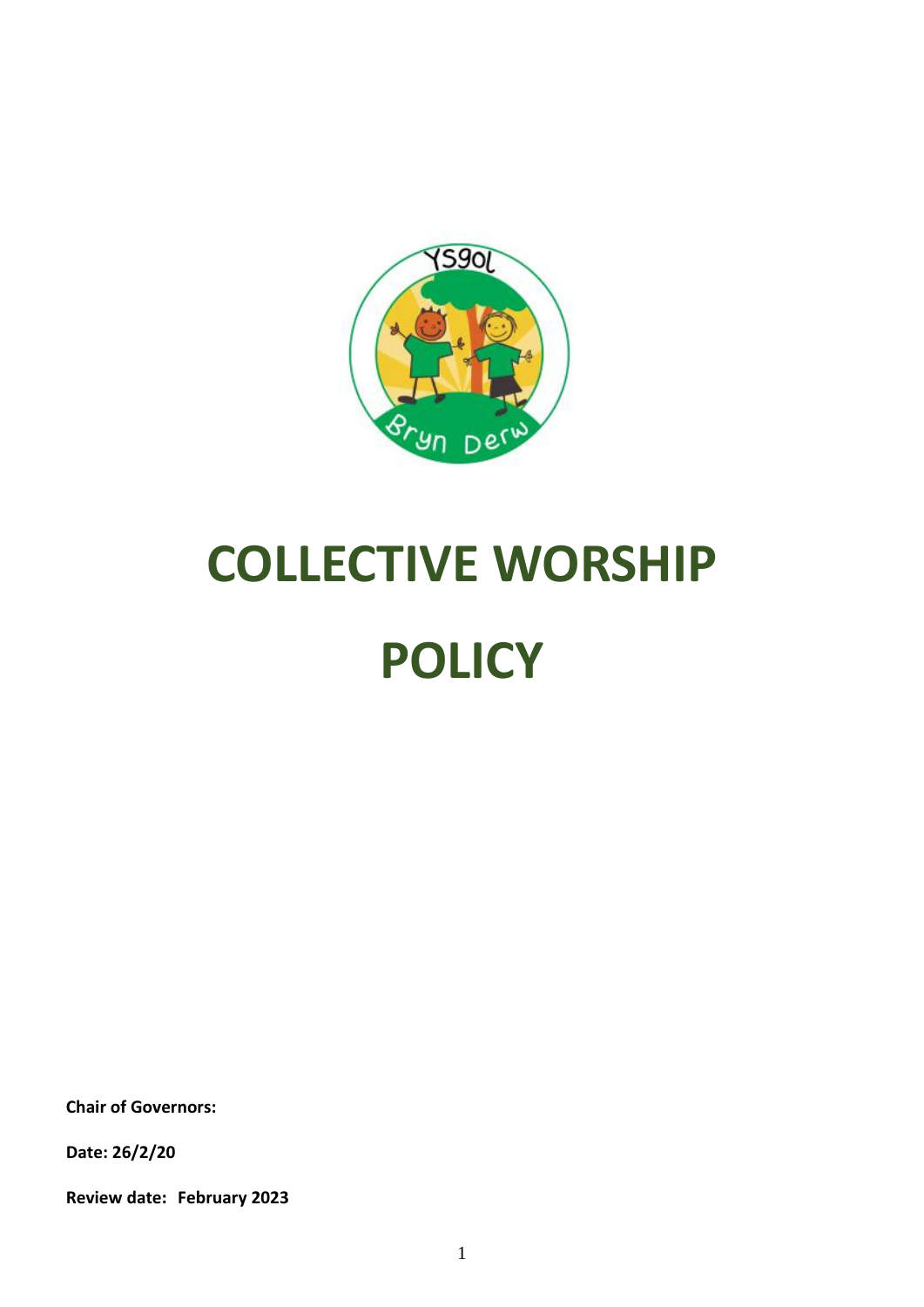

# **COLLECTIVE WORSHIP POLICY**

**Chair of Governors:**

**Date: 26/2/20**

**Review date: February 2023**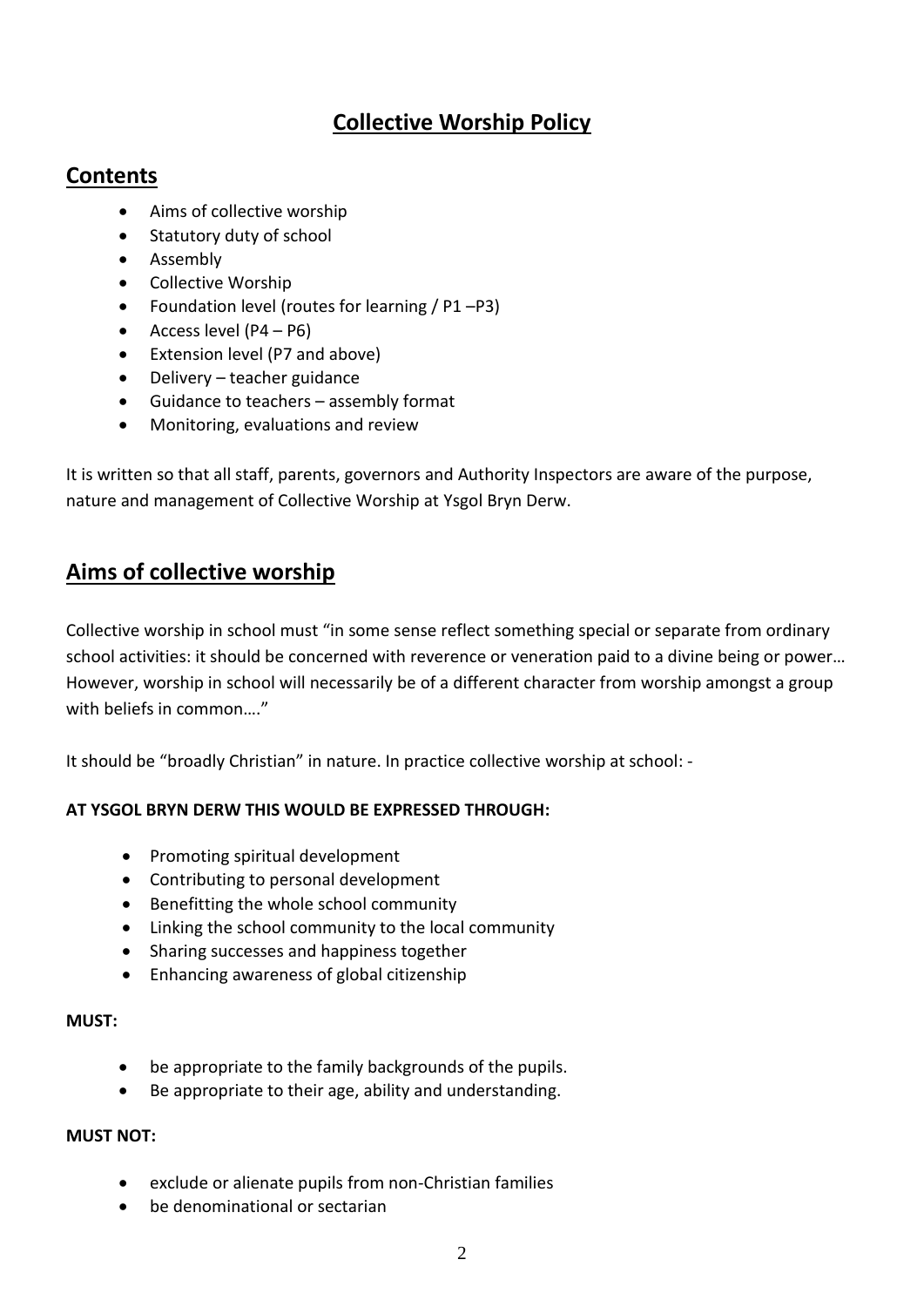# **Collective Worship Policy**

## **Contents**

- Aims of collective worship
- Statutory duty of school
- Assembly
- Collective Worship
- Foundation level (routes for learning / P1 P3)
- Access level (P4 P6)
- Extension level (P7 and above)
- Delivery teacher guidance
- Guidance to teachers assembly format
- Monitoring, evaluations and review

It is written so that all staff, parents, governors and Authority Inspectors are aware of the purpose, nature and management of Collective Worship at Ysgol Bryn Derw.

# **Aims of collective worship**

Collective worship in school must "in some sense reflect something special or separate from ordinary school activities: it should be concerned with reverence or veneration paid to a divine being or power… However, worship in school will necessarily be of a different character from worship amongst a group with beliefs in common…."

It should be "broadly Christian" in nature. In practice collective worship at school: -

#### **AT YSGOL BRYN DERW THIS WOULD BE EXPRESSED THROUGH:**

- Promoting spiritual development
- Contributing to personal development
- Benefitting the whole school community
- Linking the school community to the local community
- Sharing successes and happiness together
- Enhancing awareness of global citizenship

#### **MUST:**

- be appropriate to the family backgrounds of the pupils.
- Be appropriate to their age, ability and understanding.

#### **MUST NOT:**

- exclude or alienate pupils from non-Christian families
- be denominational or sectarian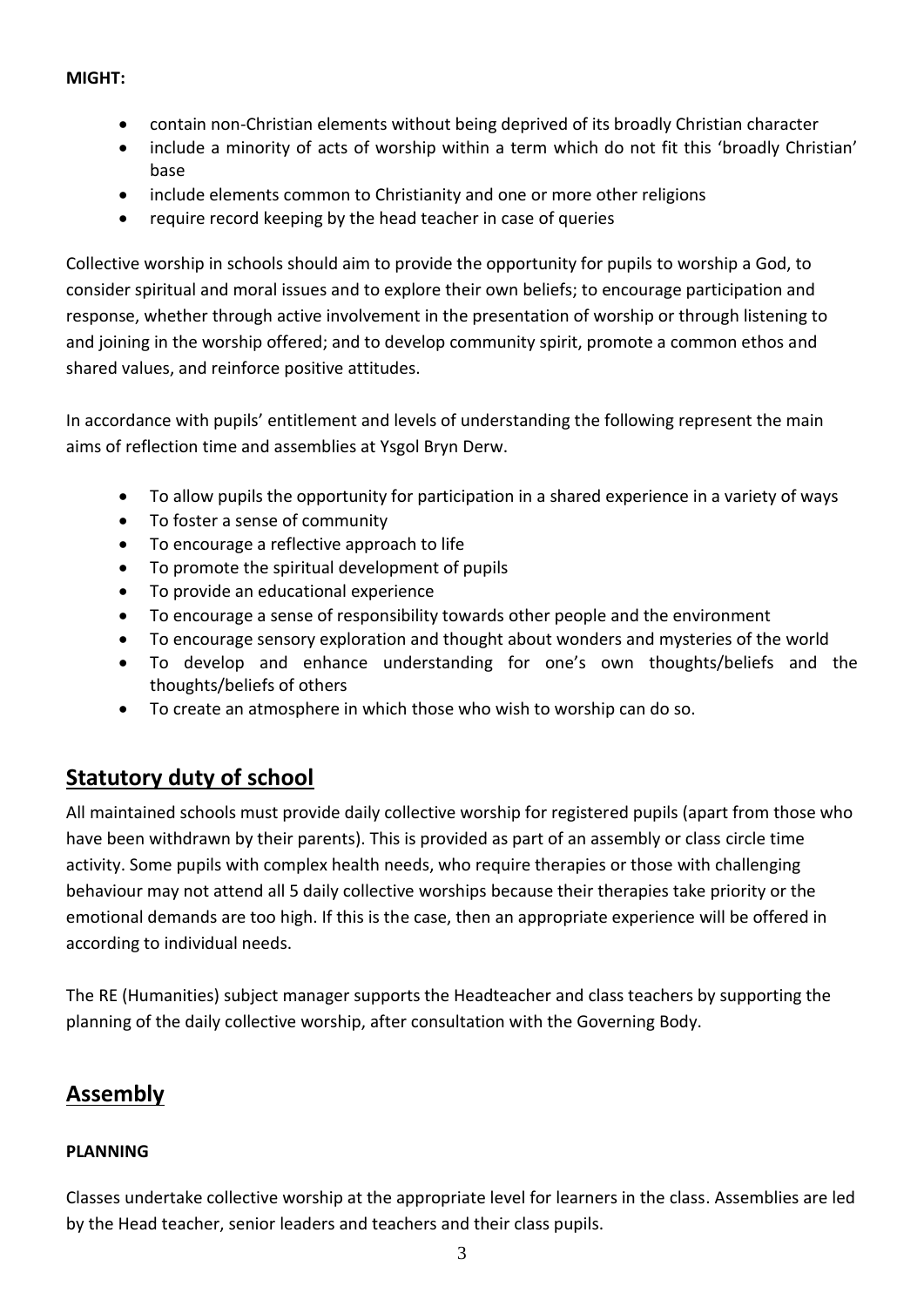#### **MIGHT:**

- contain non-Christian elements without being deprived of its broadly Christian character
- include a minority of acts of worship within a term which do not fit this 'broadly Christian' base
- include elements common to Christianity and one or more other religions
- require record keeping by the head teacher in case of queries

Collective worship in schools should aim to provide the opportunity for pupils to worship a God, to consider spiritual and moral issues and to explore their own beliefs; to encourage participation and response, whether through active involvement in the presentation of worship or through listening to and joining in the worship offered; and to develop community spirit, promote a common ethos and shared values, and reinforce positive attitudes.

In accordance with pupils' entitlement and levels of understanding the following represent the main aims of reflection time and assemblies at Ysgol Bryn Derw.

- To allow pupils the opportunity for participation in a shared experience in a variety of ways
- To foster a sense of community
- To encourage a reflective approach to life
- To promote the spiritual development of pupils
- To provide an educational experience
- To encourage a sense of responsibility towards other people and the environment
- To encourage sensory exploration and thought about wonders and mysteries of the world
- To develop and enhance understanding for one's own thoughts/beliefs and the thoughts/beliefs of others
- To create an atmosphere in which those who wish to worship can do so.

# **Statutory duty of school**

All maintained schools must provide daily collective worship for registered pupils (apart from those who have been withdrawn by their parents). This is provided as part of an assembly or class circle time activity. Some pupils with complex health needs, who require therapies or those with challenging behaviour may not attend all 5 daily collective worships because their therapies take priority or the emotional demands are too high. If this is the case, then an appropriate experience will be offered in according to individual needs.

The RE (Humanities) subject manager supports the Headteacher and class teachers by supporting the planning of the daily collective worship, after consultation with the Governing Body.

## **Assembly**

#### **PLANNING**

Classes undertake collective worship at the appropriate level for learners in the class. Assemblies are led by the Head teacher, senior leaders and teachers and their class pupils.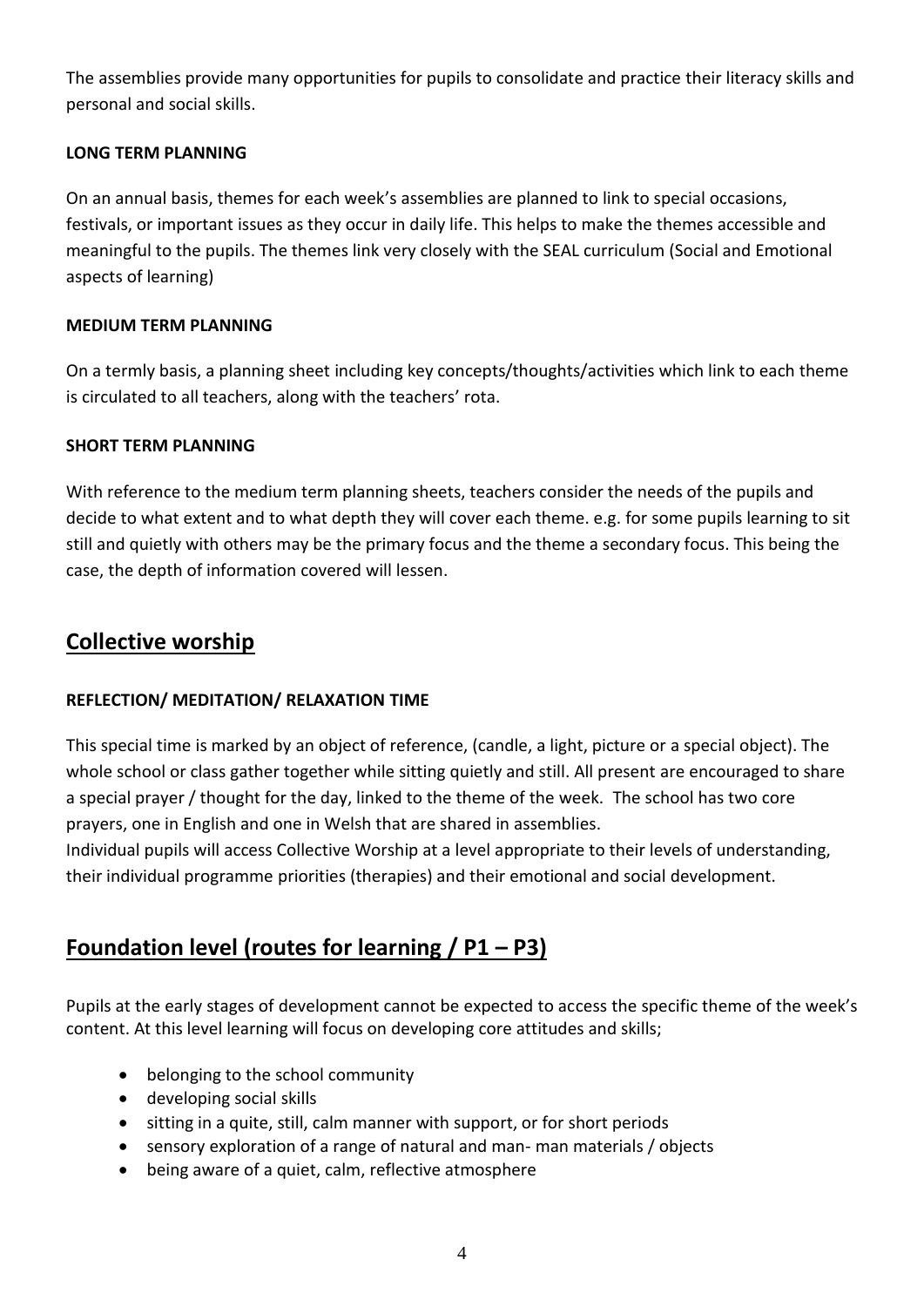The assemblies provide many opportunities for pupils to consolidate and practice their literacy skills and personal and social skills.

#### **LONG TERM PLANNING**

On an annual basis, themes for each week's assemblies are planned to link to special occasions, festivals, or important issues as they occur in daily life. This helps to make the themes accessible and meaningful to the pupils. The themes link very closely with the SEAL curriculum (Social and Emotional aspects of learning)

#### **MEDIUM TERM PLANNING**

On a termly basis, a planning sheet including key concepts/thoughts/activities which link to each theme is circulated to all teachers, along with the teachers' rota.

#### **SHORT TERM PLANNING**

With reference to the medium term planning sheets, teachers consider the needs of the pupils and decide to what extent and to what depth they will cover each theme. e.g. for some pupils learning to sit still and quietly with others may be the primary focus and the theme a secondary focus. This being the case, the depth of information covered will lessen.

### **Collective worship**

#### **REFLECTION/ MEDITATION/ RELAXATION TIME**

This special time is marked by an object of reference, (candle, a light, picture or a special object). The whole school or class gather together while sitting quietly and still. All present are encouraged to share a special prayer / thought for the day, linked to the theme of the week. The school has two core prayers, one in English and one in Welsh that are shared in assemblies.

Individual pupils will access Collective Worship at a level appropriate to their levels of understanding, their individual programme priorities (therapies) and their emotional and social development.

# **Foundation level (routes for learning / P1 – P3)**

Pupils at the early stages of development cannot be expected to access the specific theme of the week's content. At this level learning will focus on developing core attitudes and skills;

- belonging to the school community
- developing social skills
- sitting in a quite, still, calm manner with support, or for short periods
- sensory exploration of a range of natural and man- man materials / objects
- being aware of a quiet, calm, reflective atmosphere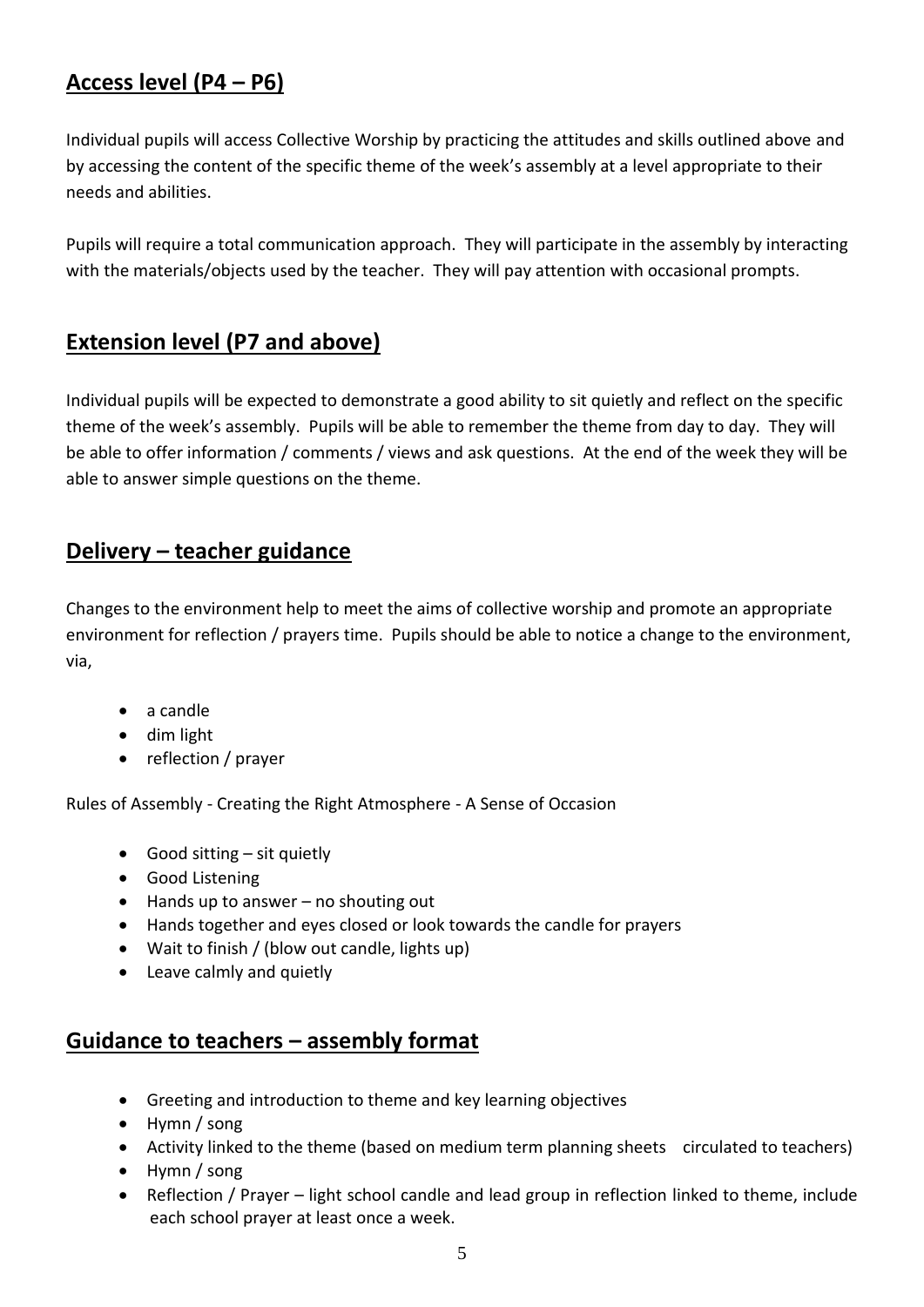# **Access level (P4 – P6)**

Individual pupils will access Collective Worship by practicing the attitudes and skills outlined above and by accessing the content of the specific theme of the week's assembly at a level appropriate to their needs and abilities.

Pupils will require a total communication approach. They will participate in the assembly by interacting with the materials/objects used by the teacher. They will pay attention with occasional prompts.

# **Extension level (P7 and above)**

Individual pupils will be expected to demonstrate a good ability to sit quietly and reflect on the specific theme of the week's assembly. Pupils will be able to remember the theme from day to day. They will be able to offer information / comments / views and ask questions. At the end of the week they will be able to answer simple questions on the theme.

## **Delivery – teacher guidance**

Changes to the environment help to meet the aims of collective worship and promote an appropriate environment for reflection / prayers time. Pupils should be able to notice a change to the environment, via,

- a candle
- dim light
- reflection / prayer

Rules of Assembly - Creating the Right Atmosphere - A Sense of Occasion

- Good sitting  $-$  sit quietly
- Good Listening
- $\bullet$  Hands up to answer no shouting out
- Hands together and eyes closed or look towards the candle for prayers
- Wait to finish / (blow out candle, lights up)
- Leave calmly and quietly

## **Guidance to teachers – assembly format**

- Greeting and introduction to theme and key learning objectives
- Hymn / song
- Activity linked to the theme (based on medium term planning sheets circulated to teachers)
- Hymn / song
- Reflection / Prayer light school candle and lead group in reflection linked to theme, include each school prayer at least once a week.